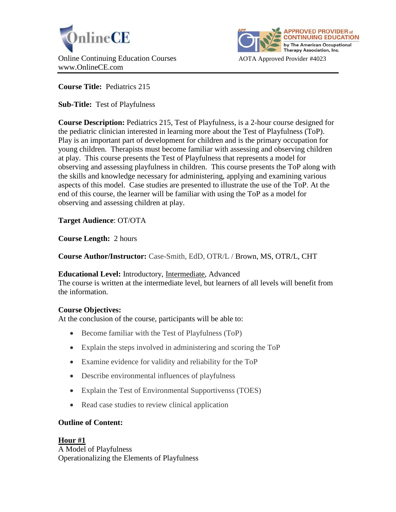



**Course Title:** Pediatrics 215

**Sub-Title:** Test of Playfulness

**Course Description:** Pediatrics 215, Test of Playfulness, is a 2-hour course designed for the pediatric clinician interested in learning more about the Test of Playfulness (ToP). Play is an important part of development for children and is the primary occupation for young children. Therapists must become familiar with assessing and observing children at play. This course presents the Test of Playfulness that represents a model for observing and assessing playfulness in children. This course presents the ToP along with the skills and knowledge necessary for administering, applying and examining various aspects of this model. Case studies are presented to illustrate the use of the ToP. At the end of this course, the learner will be familiar with using the ToP as a model for observing and assessing children at play.

**Target Audience**: OT/OTA

**Course Length:** 2 hours

**Course Author/Instructor:** Case-Smith, EdD, OTR/L / Brown, MS, OTR/L, CHT

# **Educational Level:** Introductory, Intermediate, Advanced

The course is written at the intermediate level, but learners of all levels will benefit from the information.

## **Course Objectives:**

At the conclusion of the course, participants will be able to:

- Become familiar with the Test of Playfulness (ToP)
- Explain the steps involved in administering and scoring the ToP
- Examine evidence for validity and reliability for the ToP
- Describe environmental influences of playfulness
- Explain the Test of Environmental Supportivenss (TOES)
- Read case studies to review clinical application

# **Outline of Content:**

## **Hour #1**

A Model of Playfulness Operationalizing the Elements of Playfulness